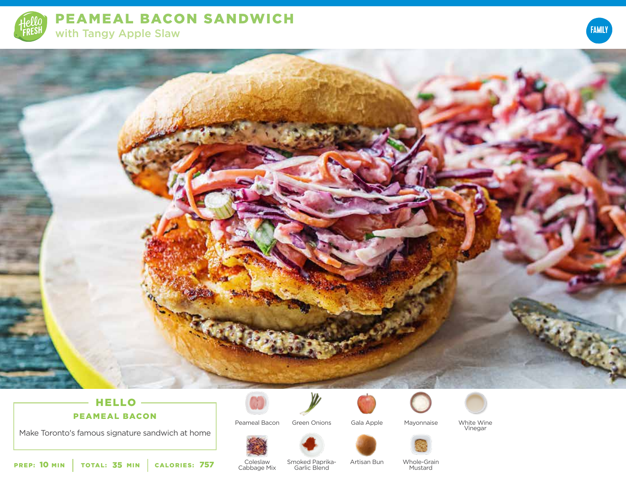

PEAMEAL BACON SANDWICH with Tangy Apple Slaw





# HELLO -

PEAMEAL BACON

Make Toronto's famous signature sandwich at home



Peameal Bacon



Green Onions Gala Apple Mayonnaise



White Wine Vinegar



Coleslaw Cabbage Mix

Smoked Paprika-Garlic Blend Artisan Bun Whole-Grain <sup>757</sup> Mustard